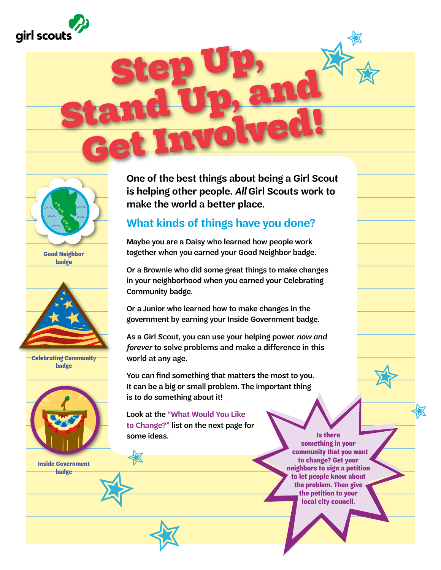



**[Good Neighbor](http://www.girlscoutshop.com/Daisy-Good-Neighbor-Badge)  badge**



**[Celebrating Community](http://www.girlscoutshop.com/BROWNIE-CELEBRATING-COMMUNITY-BADGE)  badge**



**[Inside Government](http://www.girlscoutshop.com/JUNIOR-INSIDE-GOVERNMENT-BADGE)  badge** 

**One of the best things about being a Girl Scout is helping other people.** *All* **Girl Scouts work to make the world a better place.** 

### **What kinds of things have you done?**

Step Up, and<br>Stand Up, and

Get Involved!

Maybe you are a Daisy who learned how people work together when you earned your Good Neighbor badge.

Or a Brownie who did some great things to make changes in your neighborhood when you earned your Celebrating Community badge.

Or a Junior who learned how to make changes in the government by earning your Inside Government badge.

As a Girl Scout, you can use your helping power *now and forever* to solve problems and make a difference in this world at any age.

You can find something that matters the most to you. It can be a big or small problem. The important thing is to do something about it!

Look at the **"What Would You Like to Change?"** list on the next page for some ideas.

✮

✮

女

**Is there something in your community that you want to change? Get your neighbors to sign a petition to let people know about the problem. Then give the petition to your local city council.**

✮

✮

✮ ✮✮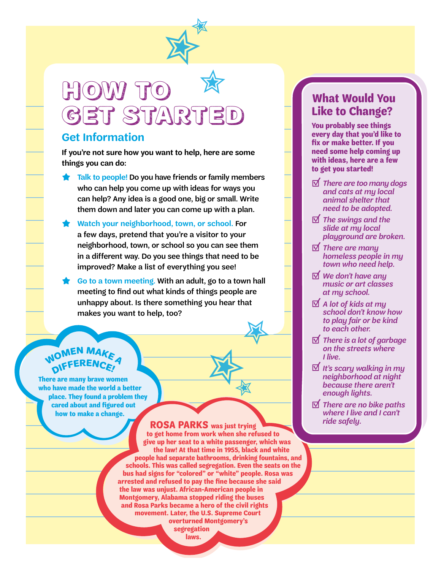

## HOW TO get started ✮

#### **Get Information**

**If you're not sure how you want to help, here are some things you can do:**

- **★ Talk to people!** Do you have friends or family members who can help you come up with ideas for ways you can help? Any idea is a good one, big or small. Write them down and later you can come up with a plan.
- **★ Watch your neighborhood, town, or school.** For a few days, pretend that you're a visitor to your neighborhood, town, or school so you can see them in a different way. Do you see things that need to be improved? Make a list of everything you see!
- **★ Go to a town meeting. With an adult, go to a town hall** meeting to find out what kinds of things people are unhappy about. Is there something you hear that makes you want to help, too?

### **WOMEN MAA <sup>D</sup>IFFERENCE!**

**There are many brave women who have made the world a better place. They found a problem they cared about and figured out how to make a change.**

> **ROSA PARKS was just trying to get home from work when she refused to give up her seat to a white passenger, which was the law! At that time in 1955, black and white people had separate bathrooms, drinking fountains, and schools. This was called segregation. Even the seats on the bus had signs for "colored" or "white" people. Rosa was arrested and refused to pay the fine because she said the law was unjust. African-American people in Montgomery, Alabama stopped riding the buses and Rosa Parks became a hero of the civil rights movement. Later, the U.S. Supreme Court overturned Montgomery's segregation laws.**

✮

✮

✮

### **What Would You Like to Change?**

**You probably see things every day that you'd like to fix or make better. If you need some help coming up with ideas, here are a few to get you started!**

- � *There are too many dogs and cats at my local animal shelter that need to be adopted.*
- � *The swings and the slide at my local playground are broken.*
- � *There are many homeless people in my town who need help.*
- � *We don't have any music or art classes at my school.*
- � *A lot of kids at my school don't know how to play fair or be kind to each other.*
- � *There is a lot of garbage on the streets where I live.*
- � *It's scary walking in my neighborhood at night because there aren't enough lights.*
- � *There are no bike paths where I live and I can't ride safely.*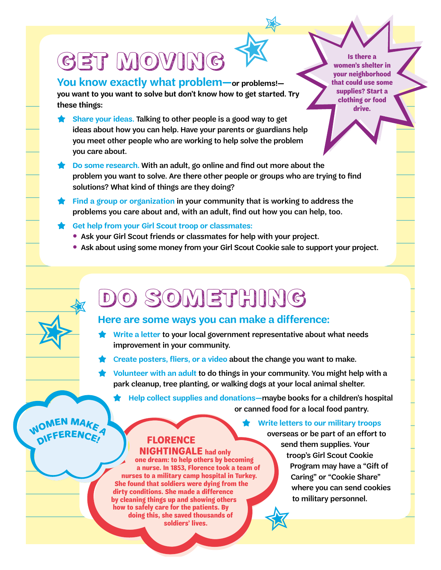# Get Moving

**You know exactly what problem—or problems!—**

**you want to you want to solve but don't know how to get started. Try these things:**

- **Share your ideas. Talking to other people is a good way to get** ideas about how you can help. Have your parents or guardians help you meet other people who are working to help solve the problem you care about.
- **★ Do some research.** With an adult, go online and find out more about the problem you want to solve. Are there other people or groups who are trying to find solutions? What kind of things are they doing?

✮

女

- **★ Find a group or organization** in your community that is working to address the problems you care about and, with an adult, find out how you can help, too.
- **★ Get help from your Girl Scout troop or classmates:**
	- Ask your Girl Scout friends or classmates for help with your project.
	- Ask about using some money from your Girl Scout Cookie sale to support your project.

# Do something

#### **Here are some ways you can make a difference:**

- Write a letter to your local government representative about what needs improvement in your community.
- **★** <sup>C</sup>**reate posters, fliers, or a video** about the change you want to make.
- **★ Volunteer with an adult** to do things in your community. You might help with a park cleanup, tree planting, or walking dogs at your local animal shelter.

**★ Help collect supplies and donations—**maybe books for a children's hospital or canned food for a local food pantry.

**WOMEN MAKEA <sup>D</sup>IFFERENCE!**

✮

✮

**FLORENCE** 

 **NIGHTINGALE had only one dream: to help others by becoming a nurse. In 1853, Florence took a team of nurses to a military camp hospital in Turkey. She found that soldiers were dying from the dirty conditions. She made a difference by cleaning things up and showing others how to safely care for the patients. By doing this, she saved thousands of soldiers' lives.**

**Write letters to our military troops** overseas or be part of an effort to send them supplies. Your troop's Girl Scout Cookie Program may have a "Gift of Caring" or "Cookie Share" where you can send cookies to military personnel. 女

**Is there a women's shelter in your neighborhood that could use some supplies? Start a clothing or food drive.**